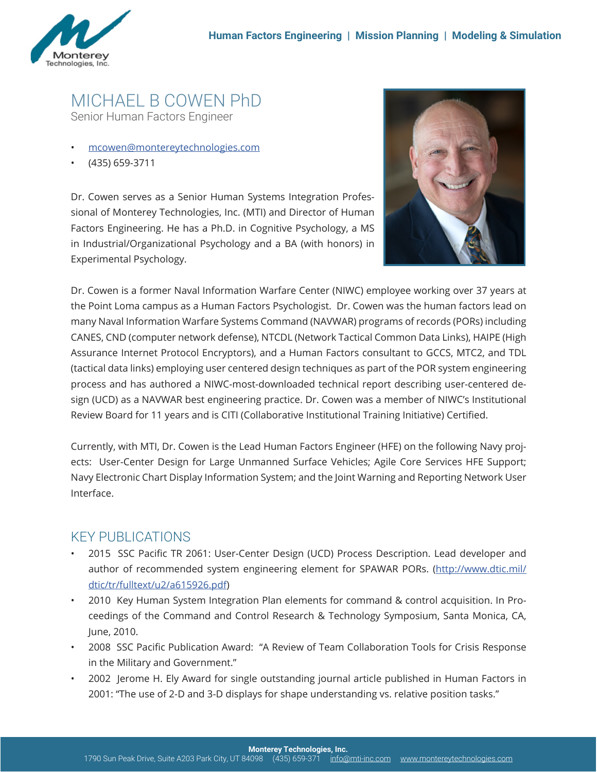

## MICHAEL B COWEN PhD Senior Human Factors Engineer

- mcowen@montereytechnologies.com
- (435) 659-3711

Dr. Cowen serves as a Senior Human Systems Integration Professional of Monterey Technologies, Inc. (MTI) and Director of Human Factors Engineering. He has a Ph.D. in Cognitive Psychology, a MS in Industrial/Organizational Psychology and a BA (with honors) in Experimental Psychology.



Dr. Cowen is a former Naval Information Warfare Center (NIWC) employee working over 37 years at the Point Loma campus as a Human Factors Psychologist. Dr. Cowen was the human factors lead on many Naval Information Warfare Systems Command (NAVWAR) programs of records (PORs) including CANES, CND (computer network defense), NTCDL (Network Tactical Common Data Links), HAIPE (High Assurance Internet Protocol Encryptors), and a Human Factors consultant to GCCS, MTC2, and TDL (tactical data links) employing user centered design techniques as part of the POR system engineering process and has authored a NIWC-most-downloaded technical report describing user-centered design (UCD) as a NAVWAR best engineering practice. Dr. Cowen was a member of NIWC's Institutional Review Board for 11 years and is CITI (Collaborative Institutional Training Initiative) Certified.

Currently, with MTI, Dr. Cowen is the Lead Human Factors Engineer (HFE) on the following Navy projects: User-Center Design for Large Unmanned Surface Vehicles; Agile Core Services HFE Support; Navy Electronic Chart Display Information System; and the Joint Warning and Reporting Network User Interface.

## KEY PUBLICATIONS

- 2015 SSC Pacific TR 2061: User-Center Design (UCD) Process Description. Lead developer and author of recommended system engineering element for SPAWAR PORs. (http://www.dtic.mil/ dtic/tr/fulltext/u2/a615926.pdf)
- 2010 Key Human System Integration Plan elements for command & control acquisition. In Proceedings of the Command and Control Research & Technology Symposium, Santa Monica, CA, June, 2010.
- 2008 SSC Pacific Publication Award: "A Review of Team Collaboration Tools for Crisis Response in the Military and Government."
- 2002 Jerome H. Ely Award for single outstanding journal article published in Human Factors in 2001: "The use of 2-D and 3-D displays for shape understanding vs. relative position tasks."